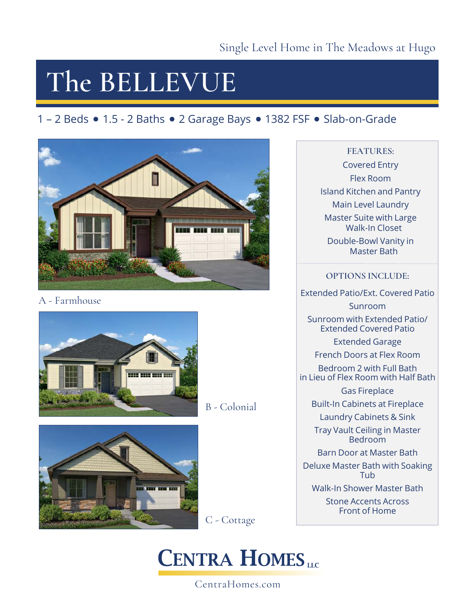## **The BELLEVUE**

### 1 - 2 Beds • 1.5 - 2 Baths • 2 Garage Bays • 1382 FSF • Slab-on-Grade



A - Farmhouse



B - Colonial



C - Cottage

### **CENTRA HOMES**

CentraHomes.com

### **FEATURES:**

Covered Entry Flex Room Island Kitchen and Pantry Main Level Laundry Master Suite with Large Walk-In Closet Double-Bowl Vanity in Master Bath

### **OPTIONS INCLUDE:**

Extended Patio/Ext. Covered Patio

Sunroom

Sunroom with Extended Patio/ Extended Covered Patio

Extended Garage

French Doors at Flex Room

Bedroom 2 with Full Bath in Lieu of Flex Room with Half Bath

Gas Fireplace

Built-In Cabinets at Fireplace

Laundry Cabinets & Sink

Tray Vault Ceiling in Master Bedroom

Barn Door at Master Bath

Deluxe Master Bath with Soaking Tub

Walk-In Shower Master Bath

Stone Accents Across Front of Home